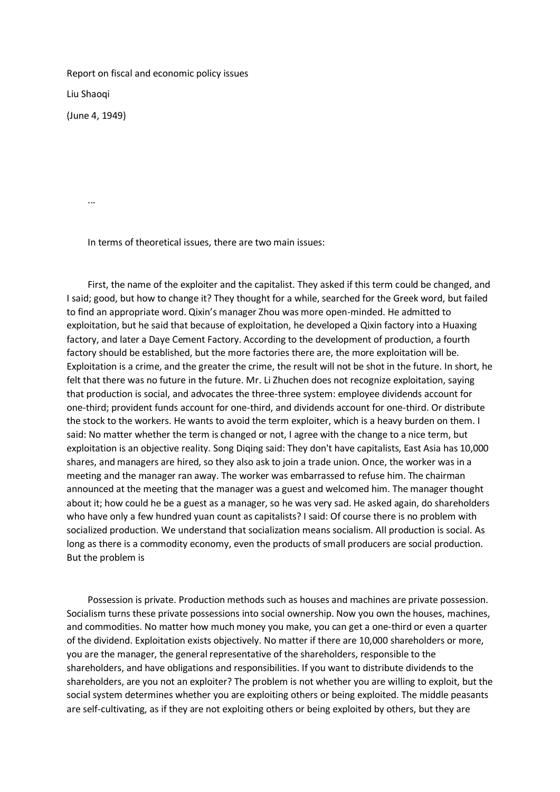Report on fiscal and economic policy issues

Liu Shaoqi

(June 4, 1949)

...

In terms of theoretical issues, there are two main issues:

 First, the name of the exploiter and the capitalist. They asked if this term could be changed, and I said; good, but how to change it? They thought for a while, searched for the Greek word, but failed to find an appropriate word. Qixin's manager Zhou was more open-minded. He admitted to exploitation, but he said that because of exploitation, he developed a Qixin factory into a Huaxing factory, and later a Daye Cement Factory. According to the development of production, a fourth factory should be established, but the more factories there are, the more exploitation will be. Exploitation is a crime, and the greater the crime, the result will not be shot in the future. In short, he felt that there was no future in the future. Mr. Li Zhuchen does not recognize exploitation, saying that production is social, and advocates the three-three system: employee dividends account for one-third; provident funds account for one-third, and dividends account for one-third. Or distribute the stock to the workers. He wants to avoid the term exploiter, which is a heavy burden on them. I said: No matter whether the term is changed or not, I agree with the change to a nice term, but exploitation is an objective reality. Song Diqing said: They don't have capitalists, East Asia has 10,000 shares, and managers are hired, so they also ask to join a trade union. Once, the worker was in a meeting and the manager ran away. The worker was embarrassed to refuse him. The chairman announced at the meeting that the manager was a guest and welcomed him. The manager thought about it; how could he be a guest as a manager, so he was very sad. He asked again, do shareholders who have only a few hundred yuan count as capitalists? I said: Of course there is no problem with socialized production. We understand that socialization means socialism. All production is social. As long as there is a commodity economy, even the products of small producers are social production. But the problem is

 Possession is private. Production methods such as houses and machines are private possession. Socialism turns these private possessions into social ownership. Now you own the houses, machines, and commodities. No matter how much money you make, you can get a one-third or even a quarter of the dividend. Exploitation exists objectively. No matter if there are 10,000 shareholders or more, you are the manager, the general representative of the shareholders, responsible to the shareholders, and have obligations and responsibilities. If you want to distribute dividends to the shareholders, are you not an exploiter? The problem is not whether you are willing to exploit, but the social system determines whether you are exploiting others or being exploited. The middle peasants are self-cultivating, as if they are not exploiting others or being exploited by others, but they are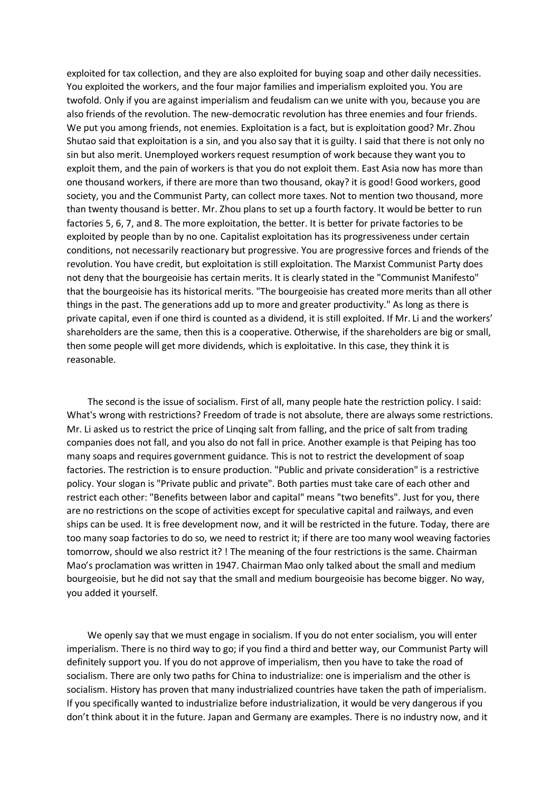exploited for tax collection, and they are also exploited for buying soap and other daily necessities. You exploited the workers, and the four major families and imperialism exploited you. You are twofold. Only if you are against imperialism and feudalism can we unite with you, because you are also friends of the revolution. The new-democratic revolution has three enemies and four friends. We put you among friends, not enemies. Exploitation is a fact, but is exploitation good? Mr. Zhou Shutao said that exploitation is a sin, and you also say that it is guilty. I said that there is not only no sin but also merit. Unemployed workers request resumption of work because they want you to exploit them, and the pain of workers is that you do not exploit them. East Asia now has more than one thousand workers, if there are more than two thousand, okay? it is good! Good workers, good society, you and the Communist Party, can collect more taxes. Not to mention two thousand, more than twenty thousand is better. Mr. Zhou plans to set up a fourth factory. It would be better to run factories 5, 6, 7, and 8. The more exploitation, the better. It is better for private factories to be exploited by people than by no one. Capitalist exploitation has its progressiveness under certain conditions, not necessarily reactionary but progressive. You are progressive forces and friends of the revolution. You have credit, but exploitation is still exploitation. The Marxist Communist Party does not deny that the bourgeoisie has certain merits. It is clearly stated in the "Communist Manifesto" that the bourgeoisie has its historical merits. "The bourgeoisie has created more merits than all other things in the past. The generations add up to more and greater productivity." As long as there is private capital, even if one third is counted as a dividend, it is still exploited. If Mr. Li and the workers' shareholders are the same, then this is a cooperative. Otherwise, if the shareholders are big or small, then some people will get more dividends, which is exploitative. In this case, they think it is reasonable.

 The second is the issue of socialism. First of all, many people hate the restriction policy. I said: What's wrong with restrictions? Freedom of trade is not absolute, there are always some restrictions. Mr. Li asked us to restrict the price of Linqing salt from falling, and the price of salt from trading companies does not fall, and you also do not fall in price. Another example is that Peiping has too many soaps and requires government guidance. This is not to restrict the development of soap factories. The restriction is to ensure production. "Public and private consideration" is a restrictive policy. Your slogan is "Private public and private". Both parties must take care of each other and restrict each other: "Benefits between labor and capital" means "two benefits". Just for you, there are no restrictions on the scope of activities except for speculative capital and railways, and even ships can be used. It is free development now, and it will be restricted in the future. Today, there are too many soap factories to do so, we need to restrict it; if there are too many wool weaving factories tomorrow, should we also restrict it? ! The meaning of the four restrictions is the same. Chairman Mao's proclamation was written in 1947. Chairman Mao only talked about the small and medium bourgeoisie, but he did not say that the small and medium bourgeoisie has become bigger. No way, you added it yourself.

 We openly say that we must engage in socialism. If you do not enter socialism, you will enter imperialism. There is no third way to go; if you find a third and better way, our Communist Party will definitely support you. If you do not approve of imperialism, then you have to take the road of socialism. There are only two paths for China to industrialize: one is imperialism and the other is socialism. History has proven that many industrialized countries have taken the path of imperialism. If you specifically wanted to industrialize before industrialization, it would be very dangerous if you don't think about it in the future. Japan and Germany are examples. There is no industry now, and it